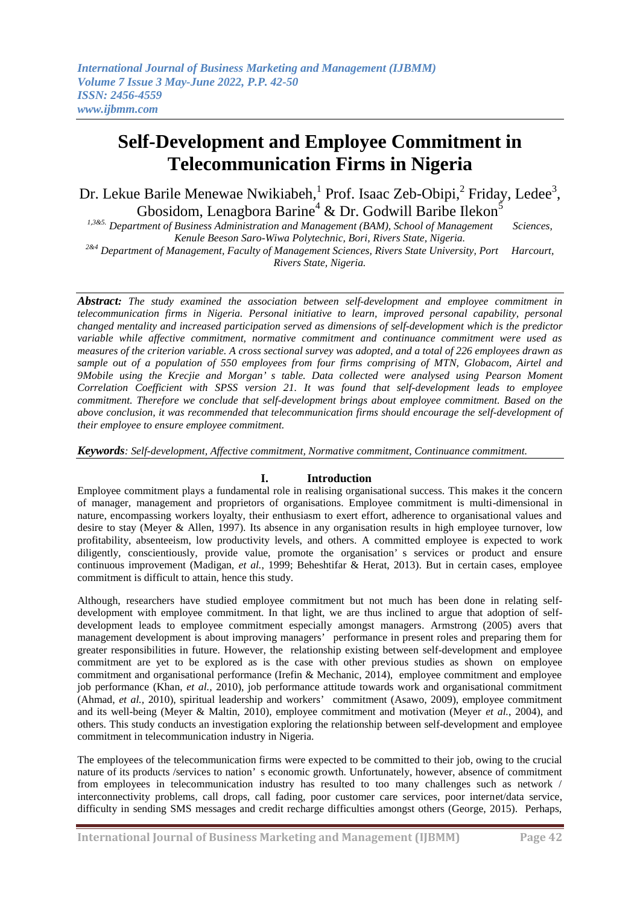# **Self-Development and Employee Commitment in Telecommunication Firms in Nigeria**

Dr. Lekue Barile Menewae Nwikiabeh, <sup>1</sup> Prof. Isaac Zeb-Obipi, <sup>2</sup> Friday, Ledee<sup>3</sup>, Gbosidom, Lenagbora Barine<sup>4</sup> & Dr. Godwill Baribe Ilekon<sup>5</sup>

*1,3&5. Department of Business Administration and Management (BAM), School of Management Sciences, Kenule Beeson Saro-Wiwa Polytechnic, Bori, Rivers State, Nigeria.*

*2&4 Department of Management, Faculty of Management Sciences, Rivers State University, Port Harcourt, Rivers State, Nigeria.*

*Abstract: The study examined the association between self-development and employee commitment in telecommunication firms in Nigeria. Personal initiative to learn, improved personal capability, personal changed mentality and increased participation served as dimensions of self-development which is the predictor variable while affective commitment, normative commitment and continuance commitment were used as measures of the criterion variable. A cross sectional survey was adopted, and a total of 226 employees drawn as sample out of a population of 550 employees from four firms comprising of MTN, Globacom, Airtel and 9Mobile using the Krecjie and Morgan' s table. Data collected were analysed using Pearson Moment Correlation Coefficient with SPSS version 21. It was found that self-development leads to employee commitment. Therefore we conclude that self-development brings about employee commitment. Based on the above conclusion, it was recommended that telecommunication firms should encourage the self-development of their employee to ensure employee commitment.*

*Keywords: Self-development, Affective commitment, Normative commitment, Continuance commitment.* 

## **I. Introduction**

Employee commitment plays a fundamental role in realising organisational success. This makes it the concern of manager, management and proprietors of organisations. Employee commitment is multi-dimensional in nature, encompassing workers loyalty, their enthusiasm to exert effort, adherence to organisational values and desire to stay (Meyer & Allen, 1997). Its absence in any organisation results in high employee turnover, low profitability, absenteeism, low productivity levels, and others. A committed employee is expected to work diligently, conscientiously, provide value, promote the organisation' s services or product and ensure continuous improvement (Madigan, *et al.*, 1999; Beheshtifar & Herat, 2013). But in certain cases, employee commitment is difficult to attain, hence this study.

Although, researchers have studied employee commitment but not much has been done in relating selfdevelopment with employee commitment. In that light, we are thus inclined to argue that adoption of selfdevelopment leads to employee commitment especially amongst managers. Armstrong (2005) avers that management development is about improving managers' performance in present roles and preparing them for greater responsibilities in future. However, the relationship existing between self-development and employee commitment are yet to be explored as is the case with other previous studies as shown on employee commitment and organisational performance (Irefin & Mechanic, 2014), employee commitment and employee job performance (Khan, *et al.,* 2010), job performance attitude towards work and organisational commitment (Ahmad, *et al.,* 2010), spiritual leadership and workers' commitment (Asawo, 2009), employee commitment and its well-being (Meyer & Maltin, 2010), employee commitment and motivation (Meyer *et al.*, 2004), and others. This study conducts an investigation exploring the relationship between self-development and employee commitment in telecommunication industry in Nigeria.

The employees of the telecommunication firms were expected to be committed to their job, owing to the crucial nature of its products /services to nation' s economic growth. Unfortunately, however, absence of commitment from employees in telecommunication industry has resulted to too many challenges such as network / interconnectivity problems, call drops, call fading, poor customer care services, poor internet/data service, difficulty in sending SMS messages and credit recharge difficulties amongst others (George, 2015). Perhaps,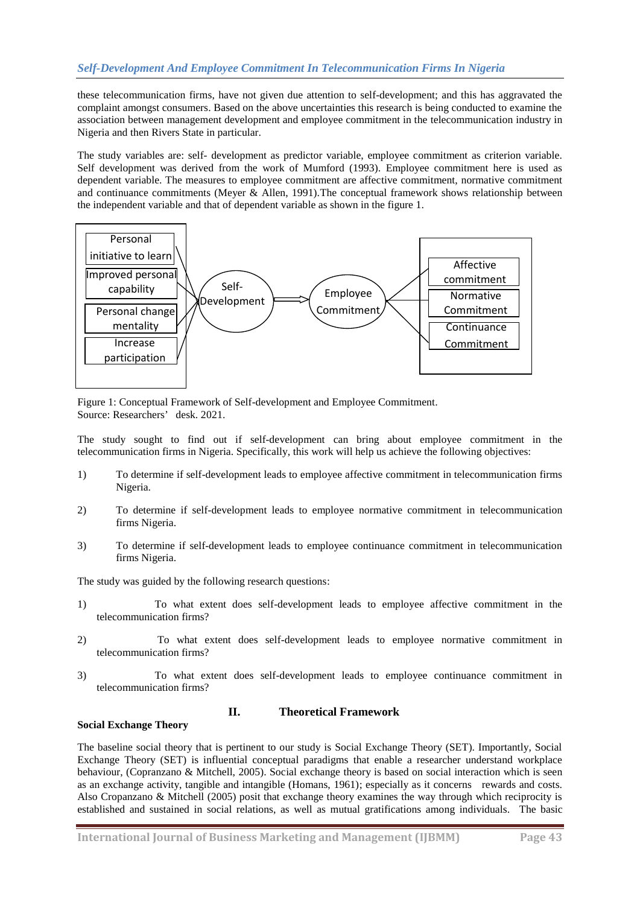# *Self-Development And Employee Commitment In Telecommunication Firms In Nigeria*

these telecommunication firms, have not given due attention to self-development; and this has aggravated the complaint amongst consumers. Based on the above uncertainties this research is being conducted to examine the association between management development and employee commitment in the telecommunication industry in Nigeria and then Rivers State in particular.

The study variables are: self- development as predictor variable, employee commitment as criterion variable. Self development was derived from the work of Mumford (1993). Employee commitment here is used as dependent variable. The measures to employee commitment are affective commitment, normative commitment and continuance commitments (Meyer & Allen, 1991).The conceptual framework shows relationship between the independent variable and that of dependent variable as shown in the figure 1.



Figure 1: Conceptual Framework of Self-development and Employee Commitment. Source: Researchers' desk. 2021.

The study sought to find out if self-development can bring about employee commitment in the telecommunication firms in Nigeria. Specifically, this work will help us achieve the following objectives:

- 1) To determine if self-development leads to employee affective commitment in telecommunication firms Nigeria.
- 2) To determine if self-development leads to employee normative commitment in telecommunication firms Nigeria.
- 3) To determine if self-development leads to employee continuance commitment in telecommunication firms Nigeria.

The study was guided by the following research questions:

- 1) To what extent does self-development leads to employee affective commitment in the telecommunication firms?
- 2) To what extent does self-development leads to employee normative commitment in telecommunication firms?
- 3) To what extent does self-development leads to employee continuance commitment in telecommunication firms?

## **II. Theoretical Framework**

#### **Social Exchange Theory**

The baseline social theory that is pertinent to our study is Social Exchange Theory (SET). Importantly, Social Exchange Theory (SET) is influential conceptual paradigms that enable a researcher understand workplace behaviour, (Copranzano & Mitchell, 2005). Social exchange theory is based on social interaction which is seen as an exchange activity, tangible and intangible (Homans, 1961); especially as it concerns rewards and costs. Also Cropanzano & Mitchell (2005) posit that exchange theory examines the way through which reciprocity is established and sustained in social relations, as well as mutual gratifications among individuals. The basic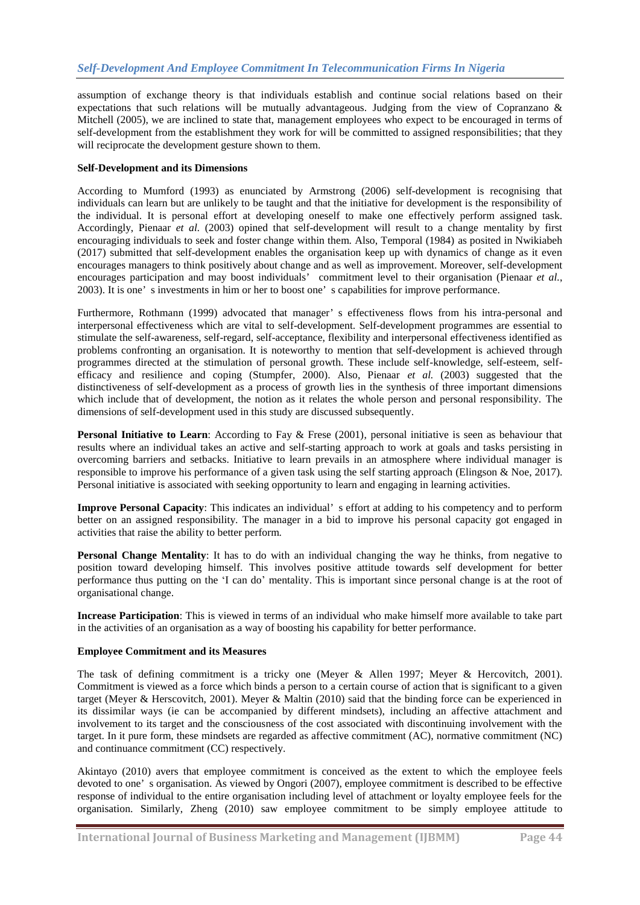assumption of exchange theory is that individuals establish and continue social relations based on their expectations that such relations will be mutually advantageous. Judging from the view of Copranzano & Mitchell (2005), we are inclined to state that, management employees who expect to be encouraged in terms of self-development from the establishment they work for will be committed to assigned responsibilities; that they will reciprocate the development gesture shown to them.

## **Self-Development and its Dimensions**

According to Mumford (1993) as enunciated by Armstrong (2006) self-development is recognising that individuals can learn but are unlikely to be taught and that the initiative for development is the responsibility of the individual. It is personal effort at developing oneself to make one effectively perform assigned task. Accordingly, Pienaar *et al.* (2003) opined that self-development will result to a change mentality by first encouraging individuals to seek and foster change within them. Also, Temporal (1984) as posited in Nwikiabeh (2017) submitted that self-development enables the organisation keep up with dynamics of change as it even encourages managers to think positively about change and as well as improvement. Moreover, self-development encourages participation and may boost individuals' commitment level to their organisation (Pienaar *et al.*, 2003). It is one' s investments in him or her to boost one' s capabilities for improve performance.

Furthermore, Rothmann (1999) advocated that manager' s effectiveness flows from his intra-personal and interpersonal effectiveness which are vital to self-development. Self-development programmes are essential to stimulate the self-awareness, self-regard, self-acceptance, flexibility and interpersonal effectiveness identified as problems confronting an organisation. It is noteworthy to mention that self-development is achieved through programmes directed at the stimulation of personal growth. These include self-knowledge, self-esteem, selfefficacy and resilience and coping (Stumpfer, 2000). Also, Pienaar *et al.* (2003) suggested that the distinctiveness of self-development as a process of growth lies in the synthesis of three important dimensions which include that of development, the notion as it relates the whole person and personal responsibility. The dimensions of self-development used in this study are discussed subsequently.

**Personal Initiative to Learn**: According to Fay & Frese (2001), personal initiative is seen as behaviour that results where an individual takes an active and self-starting approach to work at goals and tasks persisting in overcoming barriers and setbacks. Initiative to learn prevails in an atmosphere where individual manager is responsible to improve his performance of a given task using the self starting approach (Elingson & Noe, 2017). Personal initiative is associated with seeking opportunity to learn and engaging in learning activities.

**Improve Personal Capacity**: This indicates an individual' s effort at adding to his competency and to perform better on an assigned responsibility. The manager in a bid to improve his personal capacity got engaged in activities that raise the ability to better perform.

**Personal Change Mentality**: It has to do with an individual changing the way he thinks, from negative to position toward developing himself. This involves positive attitude towards self development for better performance thus putting on the 'I can do' mentality. This is important since personal change is at the root of organisational change.

**Increase Participation**: This is viewed in terms of an individual who make himself more available to take part in the activities of an organisation as a way of boosting his capability for better performance.

## **Employee Commitment and its Measures**

The task of defining commitment is a tricky one (Meyer & Allen 1997; Meyer & Hercovitch, 2001). Commitment is viewed as a force which binds a person to a certain course of action that is significant to a given target (Meyer & Herscovitch, 2001). Meyer & Maltin (2010) said that the binding force can be experienced in its dissimilar ways (ie can be accompanied by different mindsets), including an affective attachment and involvement to its target and the consciousness of the cost associated with discontinuing involvement with the target. In it pure form, these mindsets are regarded as affective commitment (AC), normative commitment (NC) and continuance commitment (CC) respectively.

Akintayo (2010) avers that employee commitment is conceived as the extent to which the employee feels devoted to one' s organisation. As viewed by Ongori (2007), employee commitment is described to be effective response of individual to the entire organisation including level of attachment or loyalty employee feels for the organisation. Similarly, Zheng (2010) saw employee commitment to be simply employee attitude to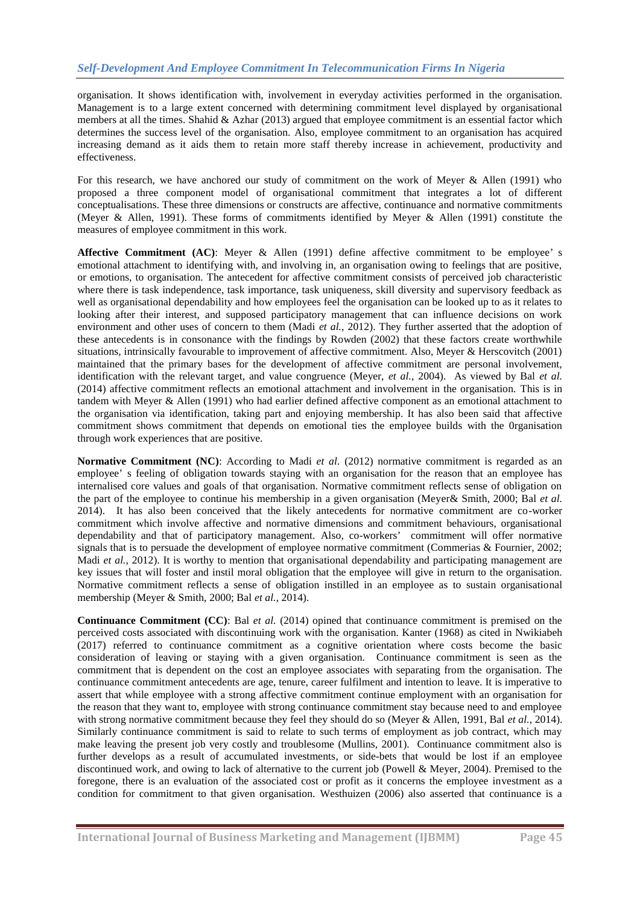organisation. It shows identification with, involvement in everyday activities performed in the organisation. Management is to a large extent concerned with determining commitment level displayed by organisational members at all the times. Shahid & Azhar (2013) argued that employee commitment is an essential factor which determines the success level of the organisation. Also, employee commitment to an organisation has acquired increasing demand as it aids them to retain more staff thereby increase in achievement, productivity and effectiveness.

For this research, we have anchored our study of commitment on the work of Meyer & Allen (1991) who proposed a three component model of organisational commitment that integrates a lot of different conceptualisations. These three dimensions or constructs are affective, continuance and normative commitments (Meyer & Allen, 1991). These forms of commitments identified by Meyer & Allen (1991) constitute the measures of employee commitment in this work.

**Affective Commitment (AC)**: Meyer & Allen (1991) define affective commitment to be employee' s emotional attachment to identifying with, and involving in, an organisation owing to feelings that are positive, or emotions, to organisation. The antecedent for affective commitment consists of perceived job characteristic where there is task independence, task importance, task uniqueness, skill diversity and supervisory feedback as well as organisational dependability and how employees feel the organisation can be looked up to as it relates to looking after their interest, and supposed participatory management that can influence decisions on work environment and other uses of concern to them (Madi *et al.*, 2012). They further asserted that the adoption of these antecedents is in consonance with the findings by Rowden (2002) that these factors create worthwhile situations, intrinsically favourable to improvement of affective commitment. Also, Meyer & Herscovitch (2001) maintained that the primary bases for the development of affective commitment are personal involvement, identification with the relevant target, and value congruence (Meyer, *et al.*, 2004). As viewed by Bal *et al.* (2014) affective commitment reflects an emotional attachment and involvement in the organisation. This is in tandem with Meyer & Allen (1991) who had earlier defined affective component as an emotional attachment to the organisation via identification, taking part and enjoying membership. It has also been said that affective commitment shows commitment that depends on emotional ties the employee builds with the 0rganisation through work experiences that are positive.

**Normative Commitment (NC)**: According to Madi *et al.* (2012) normative commitment is regarded as an employee' s feeling of obligation towards staying with an organisation for the reason that an employee has internalised core values and goals of that organisation. Normative commitment reflects sense of obligation on the part of the employee to continue his membership in a given organisation (Meyer& Smith, 2000; Bal *et al.* 2014). It has also been conceived that the likely antecedents for normative commitment are co-worker commitment which involve affective and normative dimensions and commitment behaviours, organisational dependability and that of participatory management. Also, co-workers' commitment will offer normative signals that is to persuade the development of employee normative commitment (Commerias & Fournier, 2002; Madi *et al.*, 2012). It is worthy to mention that organisational dependability and participating management are key issues that will foster and instil moral obligation that the employee will give in return to the organisation. Normative commitment reflects a sense of obligation instilled in an employee as to sustain organisational membership (Meyer & Smith, 2000; Bal *et al.*, 2014).

**Continuance Commitment (CC)**: Bal *et al.* (2014) opined that continuance commitment is premised on the perceived costs associated with discontinuing work with the organisation. Kanter (1968) as cited in Nwikiabeh (2017) referred to continuance commitment as a cognitive orientation where costs become the basic consideration of leaving or staying with a given organisation. Continuance commitment is seen as the commitment that is dependent on the cost an employee associates with separating from the organisation. The continuance commitment antecedents are age, tenure, career fulfilment and intention to leave. It is imperative to assert that while employee with a strong affective commitment continue employment with an organisation for the reason that they want to, employee with strong continuance commitment stay because need to and employee with strong normative commitment because they feel they should do so (Meyer & Allen, 1991, Bal *et al.*, 2014). Similarly continuance commitment is said to relate to such terms of employment as job contract, which may make leaving the present job very costly and troublesome (Mullins, 2001). Continuance commitment also is further develops as a result of accumulated investments, or side-bets that would be lost if an employee discontinued work, and owing to lack of alternative to the current job (Powell & Meyer, 2004). Premised to the foregone, there is an evaluation of the associated cost or profit as it concerns the employee investment as a condition for commitment to that given organisation. Westhuizen (2006) also asserted that continuance is a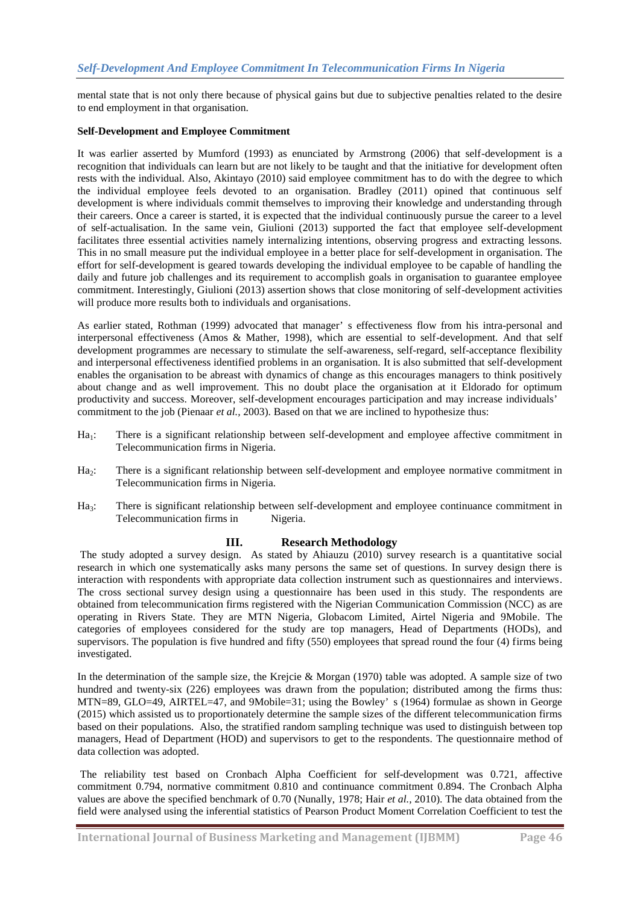mental state that is not only there because of physical gains but due to subjective penalties related to the desire to end employment in that organisation.

#### **Self-Development and Employee Commitment**

It was earlier asserted by Mumford (1993) as enunciated by Armstrong (2006) that self-development is a recognition that individuals can learn but are not likely to be taught and that the initiative for development often rests with the individual. Also, Akintayo (2010) said employee commitment has to do with the degree to which the individual employee feels devoted to an organisation. Bradley (2011) opined that continuous self development is where individuals commit themselves to improving their knowledge and understanding through their careers. Once a career is started, it is expected that the individual continuously pursue the career to a level of self-actualisation. In the same vein, Giulioni (2013) supported the fact that employee self-development facilitates three essential activities namely internalizing intentions, observing progress and extracting lessons. This in no small measure put the individual employee in a better place for self-development in organisation. The effort for self-development is geared towards developing the individual employee to be capable of handling the daily and future job challenges and its requirement to accomplish goals in organisation to guarantee employee commitment. Interestingly, Giulioni (2013) assertion shows that close monitoring of self-development activities will produce more results both to individuals and organisations.

As earlier stated, Rothman (1999) advocated that manager' s effectiveness flow from his intra-personal and interpersonal effectiveness (Amos & Mather, 1998), which are essential to self-development. And that self development programmes are necessary to stimulate the self-awareness, self-regard, self-acceptance flexibility and interpersonal effectiveness identified problems in an organisation. It is also submitted that self-development enables the organisation to be abreast with dynamics of change as this encourages managers to think positively about change and as well improvement. This no doubt place the organisation at it Eldorado for optimum productivity and success. Moreover, self-development encourages participation and may increase individuals' commitment to the job (Pienaar *et al.,* 2003). Based on that we are inclined to hypothesize thus:

- $Ha_1$ : There is a significant relationship between self-development and employee affective commitment in Telecommunication firms in Nigeria.
- Ha<sub>2</sub>: There is a significant relationship between self-development and employee normative commitment in Telecommunication firms in Nigeria.
- Ha<sub>3</sub>: There is significant relationship between self-development and employee continuance commitment in Telecommunication firms in Nigeria.

## **III. Research Methodology**

The study adopted a survey design. As stated by Ahiauzu (2010) survey research is a quantitative social research in which one systematically asks many persons the same set of questions. In survey design there is interaction with respondents with appropriate data collection instrument such as questionnaires and interviews. The cross sectional survey design using a questionnaire has been used in this study. The respondents are obtained from telecommunication firms registered with the Nigerian Communication Commission (NCC) as are operating in Rivers State. They are MTN Nigeria, Globacom Limited, Airtel Nigeria and 9Mobile. The categories of employees considered for the study are top managers, Head of Departments (HODs), and supervisors. The population is five hundred and fifty (550) employees that spread round the four (4) firms being investigated.

In the determination of the sample size, the Krejcie & Morgan (1970) table was adopted. A sample size of two hundred and twenty-six (226) employees was drawn from the population; distributed among the firms thus: MTN=89, GLO=49, AIRTEL=47, and 9Mobile=31; using the Bowley' s (1964) formulae as shown in George (2015) which assisted us to proportionately determine the sample sizes of the different telecommunication firms based on their populations. Also, the stratified random sampling technique was used to distinguish between top managers, Head of Department (HOD) and supervisors to get to the respondents. The questionnaire method of data collection was adopted.

The reliability test based on Cronbach Alpha Coefficient for self-development was 0.721, affective commitment 0.794, normative commitment 0.810 and continuance commitment 0.894. The Cronbach Alpha values are above the specified benchmark of 0.70 (Nunally, 1978; Hair *et al.,* 2010). The data obtained from the field were analysed using the inferential statistics of Pearson Product Moment Correlation Coefficient to test the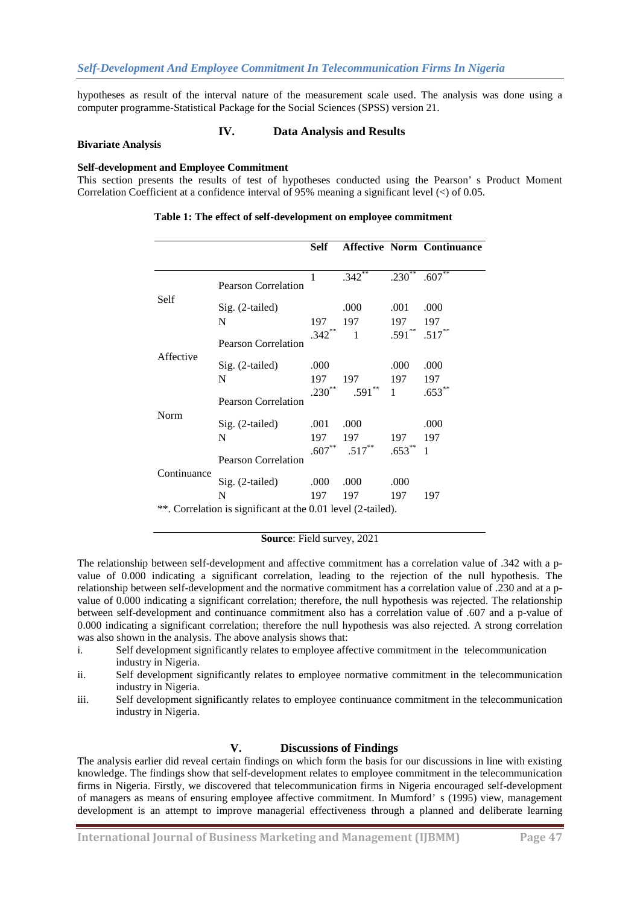hypotheses as result of the interval nature of the measurement scale used. The analysis was done using a computer programme-Statistical Package for the Social Sciences (SPSS) version 21.

## **IV. Data Analysis and Results**

#### **Bivariate Analysis**

#### **Self-development and Employee Commitment**

This section presents the results of test of hypotheses conducted using the Pearson' s Product Moment Correlation Coefficient at a confidence interval of 95% meaning a significant level (<) of 0.05.

|                                                              |                                                    | Self                    |                  |                             | <b>Affective Norm Continuance</b> |
|--------------------------------------------------------------|----------------------------------------------------|-------------------------|------------------|-----------------------------|-----------------------------------|
| Self                                                         | <b>Pearson Correlation</b>                         | $\mathbf{1}$            | $.342**$         | $.230**$                    | $.607**$                          |
|                                                              | Sig. (2-tailed)<br>N                               | 197                     | .000<br>197      | .001<br>197                 | .000<br>197                       |
| Affective<br>Norm                                            | <b>Pearson Correlation</b>                         | $.342***$               | $\overline{1}$   | $.591***$                   | $.517**$                          |
|                                                              | Sig. (2-tailed)<br>N<br><b>Pearson Correlation</b> | .000<br>197<br>$.230**$ | 197<br>$.591***$ | .000<br>197<br>$\mathbf{1}$ | .000<br>197<br>$.653***$          |
|                                                              | Sig. (2-tailed)<br>N                               | .001<br>197             | .000<br>197      | 197                         | .000<br>197                       |
| Continuance                                                  | <b>Pearson Correlation</b>                         | $.607***$               | $.517***$        | $.653***$                   | 1                                 |
|                                                              | Sig. (2-tailed)<br>N                               | .000<br>197             | .000<br>197      | .000<br>197                 | 197                               |
| **. Correlation is significant at the 0.01 level (2-tailed). |                                                    |                         |                  |                             |                                   |

## **Table 1: The effect of self-development on employee commitment**

**Source**: Field survey, 2021

The relationship between self-development and affective commitment has a correlation value of .342 with a pvalue of 0.000 indicating a significant correlation, leading to the rejection of the null hypothesis. The relationship between self-development and the normative commitment has a correlation value of .230 and at a pvalue of 0.000 indicating a significant correlation; therefore, the null hypothesis was rejected. The relationship between self-development and continuance commitment also has a correlation value of .607 and a p-value of 0.000 indicating a significant correlation; therefore the null hypothesis was also rejected. A strong correlation was also shown in the analysis. The above analysis shows that:

- i. Self development significantly relates to employee affective commitment in the telecommunication industry in Nigeria.
- ii. Self development significantly relates to employee normative commitment in the telecommunication industry in Nigeria.
- iii. Self development significantly relates to employee continuance commitment in the telecommunication industry in Nigeria.

#### **V. Discussions of Findings**

The analysis earlier did reveal certain findings on which form the basis for our discussions in line with existing knowledge. The findings show that self-development relates to employee commitment in the telecommunication firms in Nigeria. Firstly, we discovered that telecommunication firms in Nigeria encouraged self-development of managers as means of ensuring employee affective commitment. In Mumford' s (1995) view, management development is an attempt to improve managerial effectiveness through a planned and deliberate learning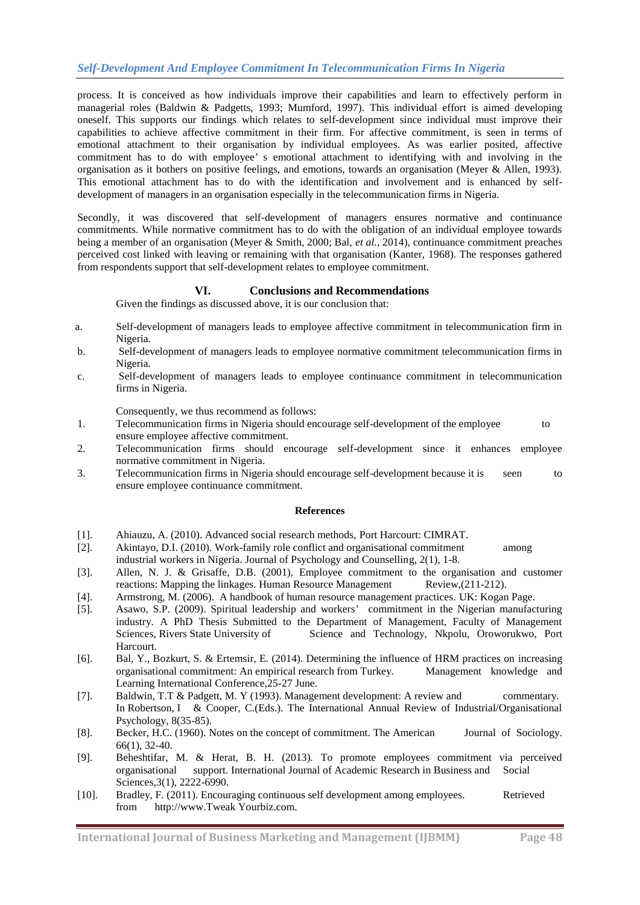process. It is conceived as how individuals improve their capabilities and learn to effectively perform in managerial roles (Baldwin & Padgetts, 1993; Mumford, 1997). This individual effort is aimed developing oneself. This supports our findings which relates to self-development since individual must improve their capabilities to achieve affective commitment in their firm. For affective commitment, is seen in terms of emotional attachment to their organisation by individual employees. As was earlier posited, affective commitment has to do with employee' s emotional attachment to identifying with and involving in the organisation as it bothers on positive feelings, and emotions, towards an organisation (Meyer & Allen, 1993). This emotional attachment has to do with the identification and involvement and is enhanced by selfdevelopment of managers in an organisation especially in the telecommunication firms in Nigeria.

Secondly, it was discovered that self-development of managers ensures normative and continuance commitments. While normative commitment has to do with the obligation of an individual employee towards being a member of an organisation (Meyer & Smith, 2000; Bal, *et al.*, 2014), continuance commitment preaches perceived cost linked with leaving or remaining with that organisation (Kanter, 1968). The responses gathered from respondents support that self-development relates to employee commitment.

# **VI. Conclusions and Recommendations**

Given the findings as discussed above, it is our conclusion that:

- a. Self-development of managers leads to employee affective commitment in telecommunication firm in Nigeria.
- b. Self-development of managers leads to employee normative commitment telecommunication firms in Nigeria.
- c. Self-development of managers leads to employee continuance commitment in telecommunication firms in Nigeria.

Consequently, we thus recommend as follows:

- 1. Telecommunication firms in Nigeria should encourage self-development of the employee to ensure employee affective commitment.
- 2. Telecommunication firms should encourage self-development since it enhances employee normative commitment in Nigeria.
- 3. Telecommunication firms in Nigeria should encourage self-development because it is seen to ensure employee continuance commitment.

## **References**

- [1]. Ahiauzu, A. (2010). Advanced social research methods, Port Harcourt: CIMRAT.
- [2]. Akintayo, D.I. (2010). Work-family role conflict and organisational commitment among industrial workers in Nigeria. Journal of Psychology and Counselling, 2(1), 1-8.
- [3]. Allen, N. J. & Grisaffe, D.B. (2001), Employee commitment to the organisation and customer reactions: Mapping the linkages. Human Resource Management Review,(211-212).
- [4]. Armstrong, M. (2006). A handbook of human resource management practices. UK: Kogan Page.
- [5]. Asawo, S.P. (2009). Spiritual leadership and workers' commitment in the Nigerian manufacturing industry. A PhD Thesis Submitted to the Department of Management, Faculty of Management Sciences, Rivers State University of Science and Technology, Nkpolu, Oroworukwo, Port Harcourt.
- [6]. Bal, Y., Bozkurt, S. & Ertemsir, E. (2014). Determining the influence of HRM practices on increasing organisational commitment: An empirical research from Turkey. Management knowledge and Learning International Conference,25-27 June.
- [7]. Baldwin, T.T & Padgett, M. Y (1993). Management development: A review and commentary. In Robertson, I & Cooper, C.(Eds.). The International Annual Review of Industrial/Organisational Psychology, 8(35-85).
- [8]. Becker, H.C. (1960). Notes on the concept of commitment. The American Journal of Sociology. 66(1), 32-40.
- [9]. Beheshtifar, M. & Herat, B. H. (2013). To promote employees commitment via perceived organisational support. International Journal of Academic Research in Business and Sciences, 3(1), 2222-6990.
- [10]. Bradley, F. (2011). Encouraging continuous self development among employees. Retrieved from http://www.Tweak Yourbiz.com.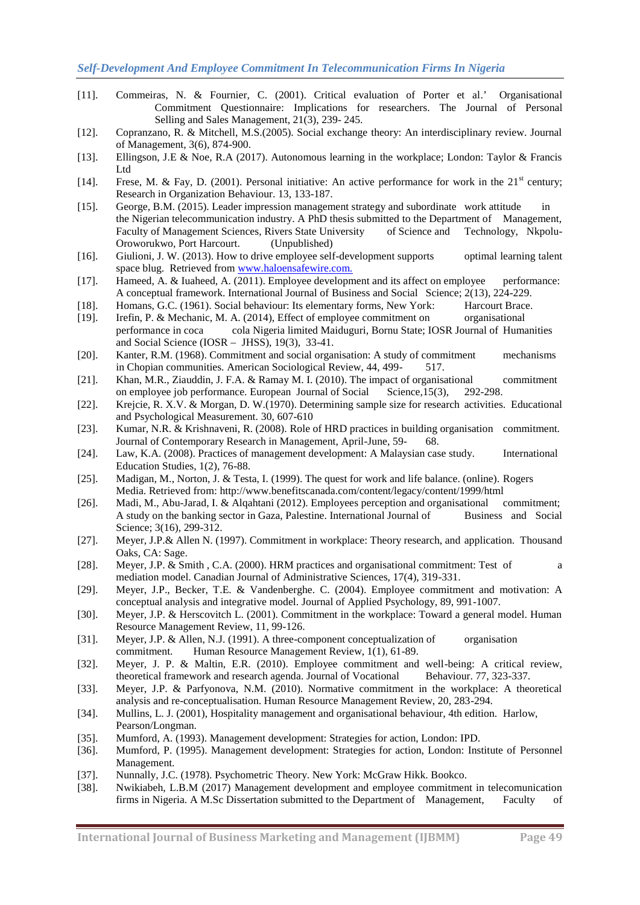- [11]. Commeiras, N. & Fournier, C. (2001). Critical evaluation of Porter et al.' Organisational Commitment Questionnaire: Implications for researchers. The Journal of Personal Selling and Sales Management, 21(3), 239- 245.
- [12]. Copranzano, R. & Mitchell, M.S.(2005). Social exchange theory: An interdisciplinary review. Journal of Management, 3(6), 874-900.
- [13]. Ellingson, J.E & Noe, R.A (2017). Autonomous learning in the workplace; London: Taylor & Francis Ltd
- [14]. Frese, M. & Fay, D. (2001). Personal initiative: An active performance for work in the  $21<sup>st</sup>$  century; Research in Organization Behaviour. 13, 133-187.
- [15]. George, B.M. (2015). Leader impression management strategy and subordinate work attitude in the Nigerian telecommunication industry. A PhD thesis submitted to the Department of Management, Faculty of Management Sciences, Rivers State University of Science and Technology, Nkpolu-Oroworukwo, Port Harcourt. (Unpublished)
- [16]. Giulioni, J. W. (2013). How to drive employee self-development supports optimal learning talent space blug. Retrieved from [www.haloensafewire.com.](http://www.haloensafewire.com./)
- [17]. Hameed, A. & Iuaheed, A. (2011). Employee development and its affect on employee performance: A conceptual framework. International Journal of Business and Social Science; 2(13), 224-229.
- [18]. Homans, G.C. (1961). Social behaviour: Its elementary forms, New York: Harcourt Brace.
- [19]. Irefin, P. & Mechanic, M. A. (2014), Effect of employee commitment on organisational performance in coca cola Nigeria limited Maiduguri, Bornu State; IOSR Journal of Humanities and Social Science (IOSR – JHSS), 19(3), 33-41.
- [20]. Kanter, R.M. (1968). Commitment and social organisation: A study of commitment mechanisms in Chopian communities. American Sociological Review, 44, 499- 517.
- [21]. Khan, M.R., Ziauddin, J. F.A. & Ramay M. I. (2010). The impact of organisational commitment on employee job performance. European Journal of Social Science,15(3), 292-298.
- [22]. Krejcie, R. X.V. & Morgan, D. W.(1970). Determining sample size for research activities. Educational and Psychological Measurement. 30, 607-610
- [23]. Kumar, N.R. & Krishnaveni, R. (2008). Role of HRD practices in building organisation commitment. Journal of Contemporary Research in Management, April-June, 59- 68.
- [24]. Law, K.A. (2008). Practices of management development: A Malaysian case study. International Education Studies, 1(2), 76-88.
- [25]. Madigan, M., Norton, J. & Testa, I. (1999). The quest for work and life balance. (online). Rogers Media. Retrieved from: http://www.benefitscanada.com/content/legacy/content/1999/html
- [26]. Madi, M., Abu-Jarad, I. & Alqahtani (2012). Employees perception and organisational commitment; A study on the banking sector in Gaza, Palestine. International Journal of Business and Social Science: 3(16), 299-312.
- [27]. Meyer, J.P.& Allen N. (1997). Commitment in workplace: Theory research, and application. Thousand Oaks, CA: Sage.
- [28]. Meyer, J.P. & Smith , C.A. (2000). HRM practices and organisational commitment: Test of a mediation model. Canadian Journal of Administrative Sciences, 17(4), 319-331.
- [29]. Meyer, J.P., Becker, T.E. & Vandenberghe. C. (2004). Employee commitment and motivation: A conceptual analysis and integrative model. Journal of Applied Psychology, 89, 991-1007.
- [30]. Meyer, J.P. & Herscovitch L. (2001). Commitment in the workplace: Toward a general model. Human Resource Management Review, 11, 99-126.
- [31]. Meyer, J.P. & Allen, N.J. (1991). A three-component conceptualization of organisation commitment. Human Resource Management Review, 1(1), 61-89.
- [32]. Meyer, J. P. & Maltin, E.R. (2010). Employee commitment and well-being: A critical review, theoretical framework and research agenda. Journal of Vocational Behaviour. 77, 323-337.
- [33]. Meyer, J.P. & Parfyonova, N.M. (2010). Normative commitment in the workplace: A theoretical analysis and re-conceptualisation. Human Resource Management Review, 20, 283-294.
- [34]. Mullins, L. J. (2001), Hospitality management and organisational behaviour, 4th edition. Harlow, Pearson/Longman.
- [35]. Mumford, A. (1993). Management development: Strategies for action, London: IPD.
- [36]. Mumford, P. (1995). Management development: Strategies for action, London: Institute of Personnel Management.
- [37]. Nunnally, J.C. (1978). Psychometric Theory. New York: McGraw Hikk. Bookco.
- [38]. Nwikiabeh, L.B.M (2017) Management development and employee commitment in telecomunication firms in Nigeria. A M.Sc Dissertation submitted to the Department of Management, Faculty of